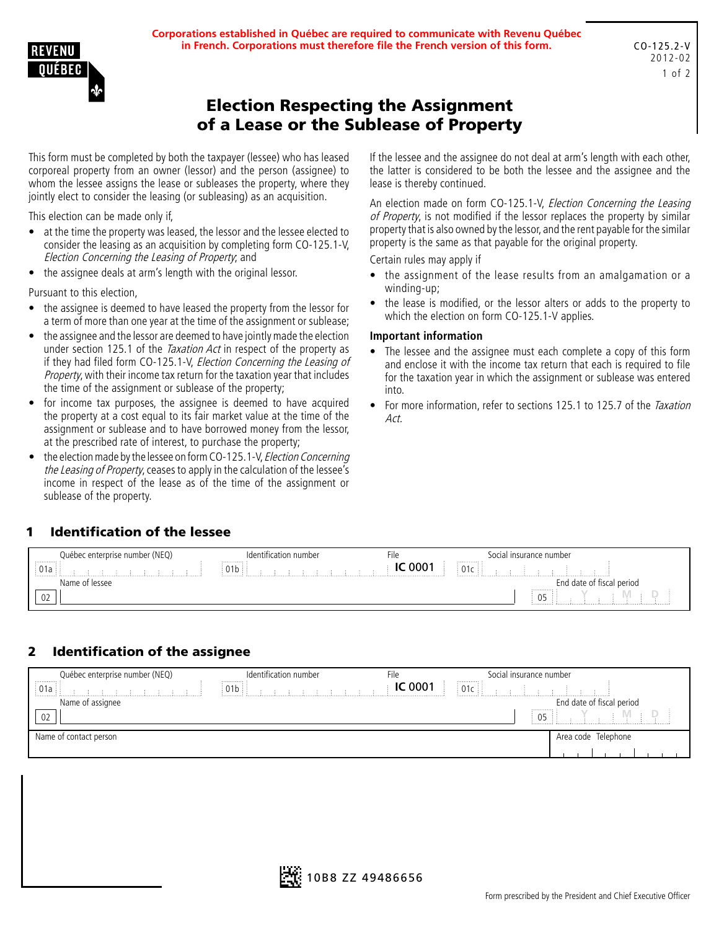**Corporations established in Québec are required to communicate with Revenu Québec in French. Corporations must therefore file the French version of this form.**

# Election Respecting the Assignment of a Lease or the Sublease of Property

This form must be completed by both the taxpayer (lessee) who has leased corporeal property from an owner (lessor) and the person (assignee) to whom the lessee assigns the lease or subleases the property, where they jointly elect to consider the leasing (or subleasing) as an acquisition.

This election can be made only if,

- at the time the property was leased, the lessor and the lessee elected to consider the leasing as an acquisition by completing form CO-125.1-V, Election Concerning the Leasing of Property; and
- the assignee deals at arm's length with the original lessor.

Pursuant to this election,

- the assignee is deemed to have leased the property from the lessor for a term of more than one year at the time of the assignment or sublease;
- the assignee and the lessor are deemed to have jointly made the election under section 125.1 of the *Taxation Act* in respect of the property as if they had filed form CO-125.1-V, Election Concerning the Leasing of Property, with their income tax return for the taxation year that includes the time of the assignment or sublease of the property;
- for income tax purposes, the assignee is deemed to have acquired the property at a cost equal to its fair market value at the time of the assignment or sublease and to have borrowed money from the lessor, at the prescribed rate of interest, to purchase the property;
- the election made by the lessee on form CO-125.1-V, Election Concerning the Leasing of Property, ceases to apply in the calculation of the lessee's income in respect of the lease as of the time of the assignment or sublease of the property.

If the lessee and the assignee do not deal at arm's length with each other, the latter is considered to be both the lessee and the assignee and the lease is thereby continued.

An election made on form CO-125.1-V, *Election Concerning the Leasing* of Property, is not modified if the lessor replaces the property by similar property that is also owned by the lessor, and the rent payable for the similar property is the same as that payable for the original property.

Certain rules may apply if

- the assignment of the lease results from an amalgamation or a winding-up;
- the lease is modified, or the lessor alters or adds to the property to which the election on form CO-125.1-V applies.

#### **Important information**

- The lessee and the assignee must each complete a copy of this form and enclose it with the income tax return that each is required to file for the taxation year in which the assignment or sublease was entered into.
- For more information, refer to sections 125.1 to 125.7 of the Taxation Act.

#### 1 Identification of the lessee

| Québec enterprise number (NEQ)       | Identification number            | ше     | Social insurance number   |
|--------------------------------------|----------------------------------|--------|---------------------------|
| . <b>.</b> .<br>: 01a<br><b>A.</b> . | <br>U I D<br><b>A.L.L.L.L.L.</b> | . 0001 | .<br>01c<br>.             |
| Name of lessee                       |                                  |        | End date of fiscal period |
| UZ                                   |                                  |        | <br>05                    |

### 2 Identification of the assignee

| Québec enterprise number (NEQ)<br> | Identification number<br> | ·ıle           | Social insurance number<br>. |                           |
|------------------------------------|---------------------------|----------------|------------------------------|---------------------------|
| i 01a                              | 91b                       | <b>IC 0001</b> | $\pm 01c \pm$                |                           |
| Name of assignee                   |                           |                |                              | End date of fiscal period |
| 02                                 |                           |                | .<br>05.                     |                           |
| Name of contact person             |                           |                |                              | Area code Telephone       |
|                                    |                           |                |                              |                           |